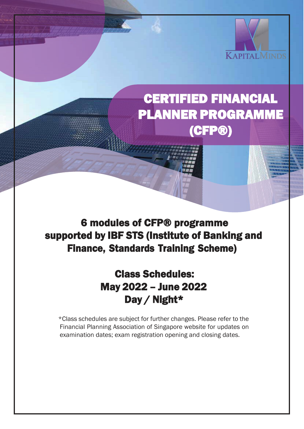

## CERTIFIED FINANCIAL PLANNER PROGRAMME (CFP®)

## 6 modules of CFP® programme supported by IBF STS (Institute of Banking and Finance, Standards Training Scheme)

I

## Class Schedules: May 2022 – June 2022 Day / Night\*

\*Class schedules are subject for further changes. Please refer to the Financial Planning Association of Singapore website for updates on examination dates; exam registration opening and closing dates.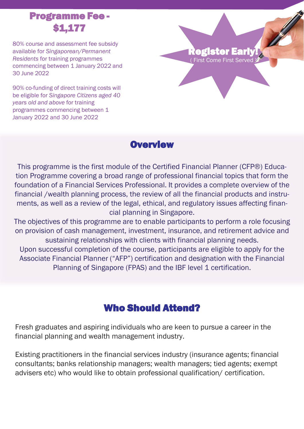## Programme Fee - \$1,177

80% course and assessment fee subsidy available for *Singaporean/Permanent Residents* for training programmes commencing between 1 January 2022 and 30 June 2022

90% co-funding of direct training costs will be eligible for *Singapore Citizens aged 40 years old and above* for training programmes commencing between 1 January 2022 and 30 June 2022

## egister Early!

First Come First Served

#### **Overview**

This programme is the first module of the Certified Financial Planner (CFP®) Education Programme covering a broad range of professional financial topics that form the foundation of a Financial Services Professional. It provides a complete overview of the financial /wealth planning process, the review of all the financial products and instruments, as well as a review of the legal, ethical, and regulatory issues affecting financial planning in Singapore.

The objectives of this programme are to enable participants to perform a role focusing on provision of cash management, investment, insurance, and retirement advice and sustaining relationships with clients with financial planning needs.

Upon successful completion of the course, participants are eligible to apply for the Associate Financial Planner ("AFP") certification and designation with the Financial Planning of Singapore (FPAS) and the IBF level 1 certification.

## Who Should Attend?

Fresh graduates and aspiring individuals who are keen to pursue a career in the financial planning and wealth management industry.

Existing practitioners in the financial services industry (insurance agents; financial consultants; banks relationship managers; wealth managers; tied agents; exempt advisers etc) who would like to obtain professional qualification/ certification.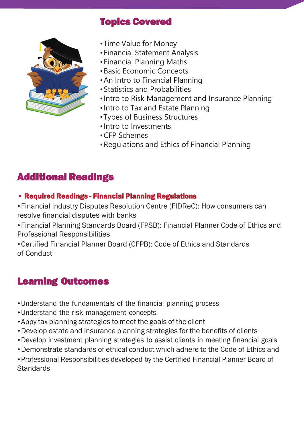

## Topics Covered

- •Time Value for Money
- •Financial Statement Analysis
- •Financial Planning Maths
- •Basic Economic Concepts
- •An Intro to Financial Planning
- •Statistics and Probabilities
- •Intro to Risk Management and Insurance Planning
- •Intro to Tax and Estate Planning
- •Types of Business Structures
- •Intro to Investments
- •CFP Schemes
- •Regulations and Ethics of Financial Planning

## Additional Readings

#### • Required Readings - Financial Planning Regulations

- •Financial Industry Disputes Resolution Centre (FIDReC): How consumers can resolve financial disputes with banks
- •Financial Planning Standards Board (FPSB): Financial Planner Code of Ethics and Professional Responsibilities
- •Certified Financial Planner Board (CFPB): Code of Ethics and Standards of Conduct

## Learning Outcomes

- •Understand the fundamentals of the financial planning process
- •Understand the risk management concepts
- •Appy tax planning strategies to meet the goals of the client
- •Develop estate and Insurance planning strategies for the benefits of clients
- •Develop investment planning strategies to assist clients in meeting financial goals
- •Demonstrate standards of ethical conduct which adhere to the Code of Ethics and
- •Professional Responsibilities developed by the Certified Financial Planner Board of **Standards**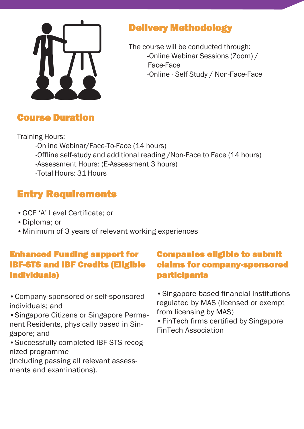

## Delivery Methodology

The course will be conducted through: -Online Webinar Sessions (Zoom) / Face-Face -Online - Self Study / Non-Face-Face

## Course Duration

Training Hours:

-Online Webinar/Face-To-Face (14 hours) -Offline self-study and additional reading /Non-Face to Face (14 hours) -Assessment Hours: (E-Assessment 3 hours) -Total Hours: 31 Hours

## Entry Requirements

- •GCE 'A' Level Certificate; or
- •Diploma; or
- •Minimum of 3 years of relevant working experiences

### Enhanced Funding support for IBF-STS and IBF Credits (Eligible Individuals)

•Company-sponsored or self-sponsored individuals; and

•Singapore Citizens or Singapore Permanent Residents, physically based in Singapore; and

•Successfully completed IBF-STS recognized programme

(Including passing all relevant assessments and examinations).

## Companies eligible to submit claims for company-sponsored participants

•Singapore-based financial Institutions regulated by MAS (licensed or exempt from licensing by MAS)

•FinTech firms certified by Singapore FinTech Association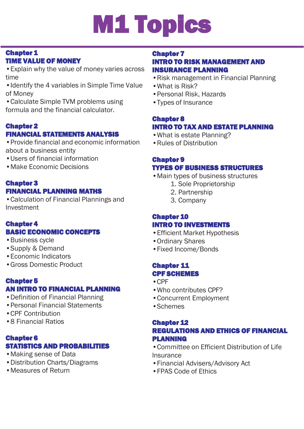# M1 Topics

#### Chapter 1 TIME VALUE OF MONEY

•Explain why the value of money varies across time

•Identify the 4 variables in Simple Time Value of Money

•Calculate Simple TVM problems using formula and the financial calculator.

#### Chapter 2

#### FINANCIAL STATEMENTS ANALYSIS

•Provide financial and economic information about a business entity

- •Users of financial information
- •Make Economic Decisions

#### Chapter 3 FINANCIAL PLANNING MATHS

•Calculation of Financial Plannings and Investment

#### Chapter 4 BASIC ECONOMIC CONCEPTS

- •Business cycle
- •Supply & Demand
- •Economic Indicators
- •Gross Domestic Product

#### Chapter 5 AN INTRO TO FINANCIAL PLANNING

- •Definition of Financial Planning
- •Personal Financial Statements
- •CPF Contribution
- •8 Financial Ratios

#### Chapter 6 STATISTICS AND PROBABILITIES

- •Making sense of Data
- •Distribution Charts/Diagrams
- •Measures of Return

#### Chapter 7

#### INTRO TO RISK MANAGEMENT AND INSURANCE PLANNING

- •Risk management in Financial Planning
- •What is Risk?
- •Personal Risk, Hazards
- •Types of Insurance

#### Chapter 8 INTRO TO TAX AND ESTATE PLANNING

- •What is estate Planning?
- •Rules of Distribution

#### Chapter 9 TYPES OF BUSINESS STRUCTURES

- •Main types of business structures
	- 1. Sole Proprietorship
		- 2. Partnership
		-
		- 3. Company

#### Chapter 10 INTRO TO INVESTMENTS

- •Efficient Market Hypothesis
- •Ordinary Shares
- •Fixed Income/Bonds

#### Chapter 11 CPF SCHEMES

- •CPF
- •Who contributes CPF?
- •Concurrent Employment
- •Schemes

#### Chapter 12 REGULATIONS AND ETHICS OF FINANCIAL PLANNING

- •Committee on Efficient Distribution of Life **Insurance**
- •Financial Advisers/Advisory Act
- •FPAS Code of Ethics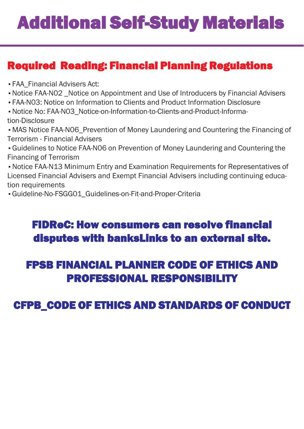## Additional Self-Study Materials

## Required Reading: Financial Planning Regulations

•FAA\_Financial Advisers Act:

j

- •Notice FAA-N02 \_Notice on Appointment and Use of Introducers by Financial Advisers
- •FAA-N03: Notice on Information to Clients and Product Information Disclosure
- •Notice No: FAA-N03\_Notice-on-Information-to-Clients-and-Product-Information-Disclosure
- •MAS Notice FAA-N06\_Prevention of Money Laundering and Countering the Financing of Terrorism - Financial Advisers
- •Guidelines to Notice FAA-N06 on Prevention of Money Laundering and Countering the Financing of Terrorism
- •Notice FAA-N13 Minimum Entry and Examination Requirements for Representatives of Licensed Financial Advisers and Exempt Financial Advisers including continuing education requirements
- •Guideline-No-FSGG01\_Guidelines-on-Fit-and-Proper-Criteria

## FIDReC: How consumers can resolve financial disputes with banksLinks to an external site.

## FPSB FINANCIAL PLANNER CODE OF ETHICS AND PROFESSIONAL RESPONSIBILITY

## CFPB\_CODE OF ETHICS AND STANDARDS OF CONDUCT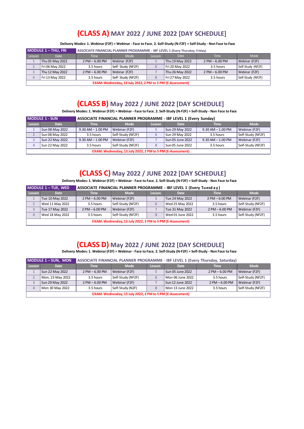#### **(CLASS A) MAY 2022 / JUNE 2022 [DAY SCHEDULE]**

Delivery Modes: 1. Webinar (F2F) = Webinar - Face to Face, 2. Self-Study (N-F2F) = Self-Study - Non Face to Face

| <b>MODULE 1-THU, FRI</b> |                                                            | ASSOCIATE FINANCIAL PLANNER PROGRAMME - IBF LEVEL 1 (Every Thursday, Friday) |                   |        |                 |                   |                   |  |  |  |  |
|--------------------------|------------------------------------------------------------|------------------------------------------------------------------------------|-------------------|--------|-----------------|-------------------|-------------------|--|--|--|--|
| Lesson                   | <b>Date</b>                                                | <b>Time</b>                                                                  | Mode              | Lesson | <b>Date</b>     | <b>Time</b>       | Mode              |  |  |  |  |
|                          | Thu 05 May 2022                                            | $2$ PM $-6.00$ PM                                                            | Webinar (F2F)     |        | Thu 19 May 2022 | $2$ PM $-6.00$ PM | Webinar (F2F)     |  |  |  |  |
|                          | Fri 06 May 2022                                            | 3.5 hours                                                                    | Self-Study (NF2F) | 6      | Fri 20 May 2022 | 3.5 hours         | Self-Study (NF2F) |  |  |  |  |
|                          | Thu 12 May 2022                                            | $2$ PM $-6.00$ PM                                                            | Webinar (F2F)     |        | Thu 26 May 2022 | $2$ PM $-6.00$ PM | Webinar (F2F)     |  |  |  |  |
|                          | Fri 13 May 2022                                            | 3.5 hours                                                                    | Self-Study (NF2F) | 8      | Fri 27 May 2022 | 3.5 hours         | Self-Study (NF2F) |  |  |  |  |
|                          | EXAM: Wednesday, 13 July 2022, 2 PM to 5 PM (E-Assessment) |                                                                              |                   |        |                 |                   |                   |  |  |  |  |

#### **(CLASS B) May 2022 / JUNE 2022 [DAY SCHEDULE]**

Delivery Modes: 1. Webinar (F2F) = Webinar - Face to Face, 2. Self-Study (N-F2F) = Self-Study - Non Face to Face

| <b>MODULE 1 - SUN</b> |                 | ASSOCIATE FINANCIAL PLANNER PROGRAMME - IBF LEVEL 1 (Every Sunday) |                                                            |        |                  |                       |                   |  |
|-----------------------|-----------------|--------------------------------------------------------------------|------------------------------------------------------------|--------|------------------|-----------------------|-------------------|--|
| <b>Lesson</b>         | <b>Date</b>     | <b>Time</b>                                                        | <b>Mode</b>                                                | Lesson | <b>Date</b>      | <b>Time</b>           | <b>Mode</b>       |  |
|                       | Sun 08 May 2022 | $9.30$ AM $- 1.00$ PM                                              | Webinar (F2F)                                              |        | Sun 29 May 2022  | $9.30$ AM $- 1.00$ PM | Webinar (F2F)     |  |
|                       | Sun 08 May 2022 | 3.5 hours                                                          | Self-Study (NF2F)                                          | 6      | Sun 29 May 2022  | 3.5 hours             | Self-Study (NF2F) |  |
|                       | Sun 22 May 2022 | $9.30$ AM $- 1.00$ PM                                              | Webinar (F2F)                                              |        | Sun 05 June 2022 | $9.30$ AM $- 1.00$ PM | Webinar (F2F)     |  |
|                       | Sun 22 May 2022 | 3.5 hours                                                          | Self-Study (NF2F)                                          | 8      | Sun 05 June 2022 | 3.5 hours             | Self-Study (NF2F) |  |
|                       |                 |                                                                    | EXAM: Wednesday, 13 July 2022, 2 PM to 5 PM (E-Assessment) |        |                  |                       |                   |  |

#### **(CLASS C) May 2022 / JUNE 2022 [DAY SCHEDULE]**

Delivery Modes: 1. Webinar (F2F) = Webinar - Face to Face, 2. Self-Study (N-F2F) = Self-Study - Non Face to Face

|        | $MODULE 1 - TUE, WED$ | ASSOCIATE FINANCIAL PLANNER PROGRAMME - IBF LEVEL 1 (Every Tuesd a y ) |                                                            |               |                  |                    |                   |  |  |
|--------|-----------------------|------------------------------------------------------------------------|------------------------------------------------------------|---------------|------------------|--------------------|-------------------|--|--|
| Lesson | <b>Date</b>           | <b>Time</b>                                                            | <b>Mode</b>                                                | <b>Lesson</b> | <b>Date</b>      | <b>Time</b>        | <b>Mode</b>       |  |  |
|        | Tue 10 May 2022       | $2$ PM $- 6.00$ PM                                                     | Webinar (F2F)                                              |               | Tue 24 May 2022  | $2$ PM $- 6:00$ PM | Webinar (F2F)     |  |  |
|        | Wed 11 May 2022       | 3.5 hours                                                              | Self-Study (NF2F)                                          | $\mathbf{b}$  | Wed 25 May 2022  | 3.5 hours          | Self-Study (NF2F) |  |  |
|        | Tue 17 May 2022       | Webinar (F2F)<br>$2$ PM $-6.00$ PM                                     |                                                            |               | Tue 31 May 2022  | $2$ PM $- 6.00$ PM | Webinar (F2F)     |  |  |
| 4      | Wed 18 May 2022       | 3.5 hours                                                              | Self-Study (NF2F)                                          | 8             | Wed 01 June 2022 | 3.5 hours          | Self-Study (NF2F) |  |  |
|        |                       |                                                                        | EXAM: Wednesday, 13 July 2022, 2 PM to 5 PM (E-Assessment) |               |                  |                    |                   |  |  |

#### **(CLASS D) May 2022 / JUNE 2022 [DAY SCHEDULE]**

Delivery Modes: 1. Webinar (F2F) = Webinar - Face to Face, 2. Self-Study (N-F2F) = Self-Study - Non Face to Face

|               | MODULE 1 - SUN, MON                                        | ASSOCIATE FINANCIAL PLANNER PROGRAMME - IBF LEVEL 1 (Every Thursday, Saturday) |                   |        |                  |                    |                   |  |  |  |  |
|---------------|------------------------------------------------------------|--------------------------------------------------------------------------------|-------------------|--------|------------------|--------------------|-------------------|--|--|--|--|
| <b>Lesson</b> | <b>Date</b>                                                | <b>Time</b>                                                                    | <b>Mode</b>       | Lesson | <b>Date</b>      | <b>Time</b>        | <b>Mode</b>       |  |  |  |  |
|               | Sun 22 May 2022                                            | $2$ PM $-6.00$ PM                                                              | Webinar (F2F)     |        | Sun 05 June 2022 | $2$ PM $-6.00$ PM  | Webinar (F2F)     |  |  |  |  |
|               | Mon, 23 May 2022                                           | 3.5 hours                                                                      | Self-Study (NF2F) | 6      | Mon 06 June 2022 | 3.5 hours          | Self-Study (NF2F) |  |  |  |  |
|               | Sun 29 May 2022                                            | $2$ PM $-6.00$ PM                                                              | Webinar (F2F)     |        | Sun 12 June 2022 | $2$ PM $- 6.00$ PM | Webinar (F2F)     |  |  |  |  |
|               | Mon 30 May 2022                                            | 3.5 hours                                                                      | Self-Study (N2F)  | 8      | Mon 13 June 2022 | 3.5 hours          | Self-Study (NF2F) |  |  |  |  |
|               | EXAM: Wednesday, 13 July 2022, 2 PM to 5 PM (E-Assessment) |                                                                                |                   |        |                  |                    |                   |  |  |  |  |